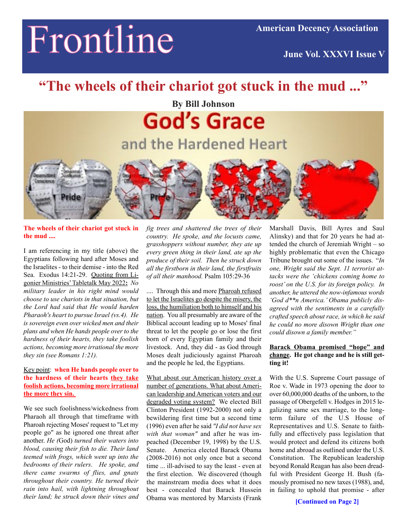# Frontline

**June Vol. XXXVI Issue V**

# **"The wheels of their chariot got stuck in the mud ..."**

**By Bill Johnson**

**God's Grace** and the Hardened Heart



### **The wheels of their chariot got stuck in the mud ....**

I am referencing in my title (above) the Egyptians following hard after Moses and the Israelites - to their demise - into the Red Sea. Exodus 14:21-29. Quoting from Ligonier Ministries' Tabletalk May 2022**:** *No military leader in his right mind would choose to use chariots in that situation, but the Lord had said that He would harden Pharaoh's heart to pursue Israel (vs.4). He is sovereign even over wicked men and their plans and when He hands people over to the hardness of their hearts, they take foolish actions, becoming more irrational the more they sin (see Romans 1:21).*

### Key point: **when He hands people over to the hardness of their hearts they take foolish actions, becoming more irrational the more they sin.**

We see such foolishness/wickedness from Pharaoh all through that timeframe with Pharoah rejecting Moses' request to "Let my people go" as he ignored one threat after another. *He (*God) *turned their waters into blood, causing their fish to die. Their land teemed with frogs, which went up into the bedrooms of their rulers. He spoke, and there came swarms of flies, and gnats throughout their country. He turned their rain into hail, with lightning throughout their land; he struck down their vines and*

*fig trees and shattered the trees of their country. He spoke, and the locusts came, grasshoppers without number, they ate up every green thing in their land, ate up the produce of their soil. Then he struck down all the firstborn in their land, the firstfruits of all their manhood.* Psalm 105:29-36

.... Through this and more Pharoah refused to let the Israelites go despite the misery, the loss, the humiliation both to himself and his nation. You all presumably are aware of the Biblical account leading up to Moses' final threat to let the people go or lose the first born of every Egyptian family and their livestock. And, they did - as God through Moses dealt judiciously against Pharoah and the people he led, the Egyptians.

What about our American history over a number of generations. What about American leadership and American voters and our degraded voting system? We elected Bill Clinton President (1992-2000) not only a bewildering first time but a second time (1996) even after he said *"I did not have sex with that woman"* and after he was impeached (December 19, 1998) by the U.S. Senate. America elected Barack Obama (2008-2016) not only once but a second time ... ill-advised to say the least - even at the first election. We discovered (though the mainstream media does what it does best - concealed that Barack Hussein Obama was mentored by Marxists (Frank

Marshall Davis, Bill Ayres and Saul Alinsky) and that for 20 years he had attended the church of Jeremiah Wright – so highly problematic that even the Chicago Tribune brought out some of the issues. "*In one, Wright said the Sept. 11 terrorist attacks were the 'chickens coming home to roost' on the U.S. for its foreign policy. In another, he uttered the now-infamous words 'God d\*\*n America.' Obama publicly disagreed with the sentiments in a carefully crafted speech about race, in which he said he could no more disown Wright than one could disown a family member."*

## **Barack Obama promised "hope" and change. He got change and he is still getting it!**

With the U.S. Supreme Court passage of Roe v. Wade in 1973 opening the door to over 60,000,000 deaths of the unborn, to the passage of Obergefell v. Hodges in 2015 legalizing same sex marriage, to the longterm failure of the U.S House of Representatives and U.S. Senate to faithfully and effectively pass legislation that would protect and defend its citizens both home and abroad as outlined under the U.S. Constitution. The Republican leadership beyond Ronald Reagan has also been dreadful with President George H. Bush (famously promised no new taxes (1988), and, in failing to uphold that promise - after

**[Continued on Page 2]**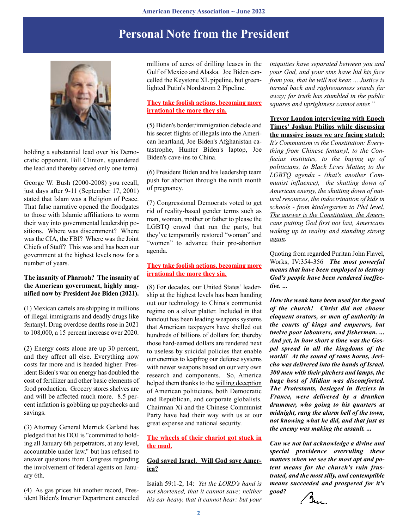## **Personal Note from the President**



holding a substantial lead over his Democratic opponent, Bill Clinton, squandered the lead and thereby served only one term).

George W. Bush (2000-2008) you recall, just days after 9-11 (September 17, 2001) stated that Islam was a Religion of Peace. That false narrative opened the floodgates to those with Islamic affiliations to worm their way into governmental leadership positions. Where was discernment? Where was the CIA, the FBI? Where was the Joint Chiefs of Staff? This was and has been our government at the highest levels now for a number of years.

#### **The insanity of Pharaoh? The insanity of the American government, highly magnified now by President Joe Biden (2021).**

(1) Mexican cartels are shipping in millions of illegal immigrants and deadly drugs like fentanyl. Drug overdose deaths rose in 2021 to 108,000, a 15 percent increase over 2020.

(2) Energy costs alone are up 30 percent, and they affect all else. Everything now costs far more and is headed higher. President Biden's war on energy has doubled the cost of fertilizer and other basic elements of food production. Grocery stores shelves are and will be affected much more. 8.5 percent inflation is gobbling up paychecks and savings.

(3) Attorney General Merrick Garland has pledged that his DOJ is "committed to holding all January 6th perpetrators, at any level, accountable under law," but has refused to answer questions from Congress regarding the involvement of federal agents on January 6th.

(4) As gas prices hit another record, President Biden's Interior Department canceled millions of acres of drilling leases in the Gulf of Mexico and Alaska. Joe Biden cancelled the Keystone XL pipeline, but greenlighted Putin's Nordstrom 2 Pipeline.

## **They take foolish actions, becoming more irrational the more they sin.**

(5) Biden's border/immigration debacle and his secret flights of illegals into the American heartland, Joe Biden's Afghanistan catastrophe, Hunter Biden's laptop, Joe Biden's cave-ins to China.

(6) President Biden and his leadership team push for abortion through the ninth month of pregnancy.

(7) Congressional Democrats voted to get rid of reality-based gender terms such as man, woman, mother or father to please the LGBTQ crowd that run the party, but they've temporarily restored "woman" and "women" to advance their pro-abortion agenda.

## **They take foolish actions, becoming more irrational the more they sin.**

(8) For decades, our United States' leadership at the highest levels has been handing out our technology to China's communist regime on a silver platter. Included in that handout has been leading weapons systems that American taxpayers have shelled out hundreds of billions of dollars for; thereby those hard-earned dollars are rendered next to useless by suicidal policies that enable our enemies to leapfrog our defense systems with newer weapons based on our very own research and components. So, America helped them thanks to the willing deception of American politicians, both Democratic and Republican, and corporate globalists. Chairman Xi and the Chinese Communist Party have had their way with us at our great expense and national security.

**The wheels of their chariot got stuck in the mud.**

#### **God saved Israel. Will God save America?**

Isaiah 59:1-2, 14: *Yet the LORD's hand is not shortened, that it cannot save; neither his ear heavy, that it cannot hear: but your*

*iniquities have separated between you and your God, and your sins have hid his face from you, that he will not hear. ... Justice is turned back and righteousness stands far away; for truth has stumbled in the public squares and uprightness cannot enter."*

**Trevor Loudon interviewing with Epoch Times' Joshua Philips while discussing the massive issues we are facing stated:** *It's Communism vs the Constitution: Everything from Chinese fentanyl, to the Confucius institutes, to the buying up of politicians, to Black Lives Matter, to the LGBTQ agenda - (that's another Communist influence), the shutting down of American energy, the shutting down of natural resources, the indoctrination of kids in schools - from kindergarten to Phd level. The answer is the Constitution, the Americans putting God first not last, Americans waking up to reality and standing strong again.*

Quoting from regarded Puritan John Flavel, Works, IV:354-356 *The most powerful means that have been employed to destroy God's people have been rendered ineffective. ...*

*How the weak have been used for the good of the church! Christ did not choose eloquent orators, or men of authority in the courts of kings and emperors, but twelve poor labourers, and fisherman. ... And yet, in how short a time was the Gospel spread in all the kingdoms of the world! At the sound of rams horns, Jericho was delivered into the hands of Israel. 300 men with their pitchers and lamps, the huge host of Midian was discomforted. The Protestants, besieged in Beziers in France, were delivered by a drunken drummer, who going to his quarters at midnight, rang the alarm bell of the town, not knowing what he did, and that just as the enemy was making the assault. ...*

*Can we not but acknowledge a divine and special providence overruling these matters when we see the most apt and potent means for the church's ruin frustrated, and the most silly, and contemptible means succeeded and prospered for it's good?*

Bu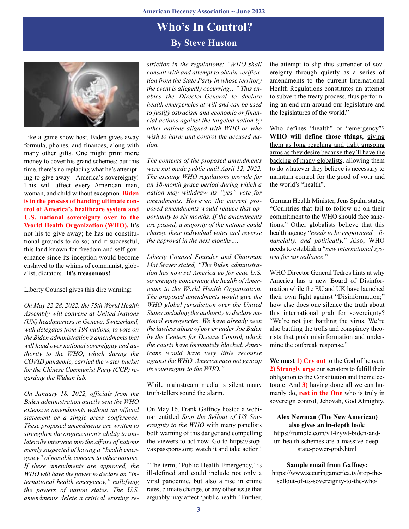## **Who's In Control? By Steve Huston**



Like a game show host, Biden gives away formula, phones, and finances, along with many other gifts. One might print more money to cover his grand schemes; but this time, there's no replacing what he's attempting to give away - America's sovereignty! This will affect every American man, woman, and child without exception. **Biden is in the process of handing ultimate control of America's healthcare system and U.S. national sovereignty over to the World Health Organization (WHO).** It's not his to give away; he has no constitutional grounds to do so; and if successful, this land known for freedom and self-governance since its inception would become enslaved to the whims of communist, globalist, dictators. **It's treasonous!**

Liberty Counsel gives this dire warning:

*On May 22-28, 2022, the 75th World Health Assembly will convene at United Nations (UN) headquarters in Geneva, Switzerland, with delegates from 194 nations, to vote on the Biden administration's amendments that will hand over national sovereignty and authority to the WHO, which during the COVID pandemic, carried the water bucket for the Chinese Communist Party (CCP) regarding the Wuhan lab.*

*On January 18, 2022, officials from the Biden administration quietly sent the WHO extensive amendments without an official statement or a single press conference. These proposed amendments are written to strengthen the organization's ability to unilaterally intervene into the affairs of nations merely suspected of having a "health emergency" of possible concern to other nations. If these amendments are approved, the WHO will have the power to declare an "international health emergency," nullifying the powers of nation states. The U.S. amendments delete a critical existing re-* *striction in the regulations: "WHO shall consult with and attempt to obtain verification from the State Party in whose territory the event is allegedly occurring…" This enables the Director-General to declare health emergencies at will and can be used to justify ostracism and economic or financial actions against the targeted nation by other nations aligned with WHO or who wish to harm and control the accused nation.*

*The contents of the proposed amendments were not made public until April 12, 2022. The existing WHO regulations provide for an 18-month grace period during which a nation may withdraw its "yes" vote for amendments. However, the current proposed amendments would reduce that opportunity to six months. If the amendments are passed, a majority of the nations could change their individual votes and reverse the approval in the next months….*

*Liberty Counsel Founder and Chairman Mat Staver stated, "The Biden administration has now set America up for cede U.S. sovereignty concerning the health of Americans to the World Health Organization. The proposed amendments would give the WHO global jurisdiction over the United States including the authority to declare national emergencies. We have already seen the lawless abuse of power under Joe Biden by the Centers for Disease Control, which the courts have fortunately blocked. Americans would have very little recourse against the WHO. America must not give up its sovereignty to the WHO."*

While mainstream media is silent many truth-tellers sound the alarm.

On May 16, Frank Gaffney hosted a webinar entitled *Stop the Sellout of US Sovereignty to the WHO* with many panelists both warning of this danger and compelling the viewers to act now. Go to https://stopvaxpassports.org; watch it and take action!

"The term, 'Public Health Emergency,' is ill-defined and could include not only a viral pandemic, but also a rise in crime rates, climate change, or any other issue that arguably may affect 'public health.' Further, the attempt to slip this surrender of sovereignty through quietly as a series of amendments to the current International Health Regulations constitutes an attempt to subvert the treaty process, thus performing an end-run around our legislature and the legislatures of the world."

Who defines "health" or "emergency"? **WHO will define those things**, giving them as long reaching and tight grasping arms as they desire because they'll have the backing of many globalists, allowing them to do whatever they believe is necessary to maintain control for the good of your and the world's "health".

German Health Minister, Jens Spahn states, "Countries that fail to follow up on their commitment to the WHO should face sanctions." Other globalists believe that this health agency "*needs to be empowered – financially, and politically.*" Also, WHO needs to establish a "*new international system for surveillance*."

WHO Director General Tedros hints at why America has a new Board of Disinformation while the EU and UK have launched their own fight against "Disinformation;" how else does one silence the truth about this international grab for sovereignty? "We're not just battling the virus. We're also battling the trolls and conspiracy theorists that push misinformation and undermine the outbreak response."

**We must 1) Cry out** to the God of heaven. **2) Strongly urge** our senators to fulfill their obligation to the Constitution and their electorate. And **3)** having done all we can humanly do, **rest in the One** who is truly in sovereign control, Jehovah, God Almighty.

#### **Alex Newman (The New American) also gives an in-depth look**:

https://rumble.com/v14zywt-biden-andun-health-schemes-are-a-massive-deepstate-power-grab.html

#### **Sample email from Gaffney:**

https://www.securingamerica.tv/stop-thesellout-of-us-sovereignty-to-the-who/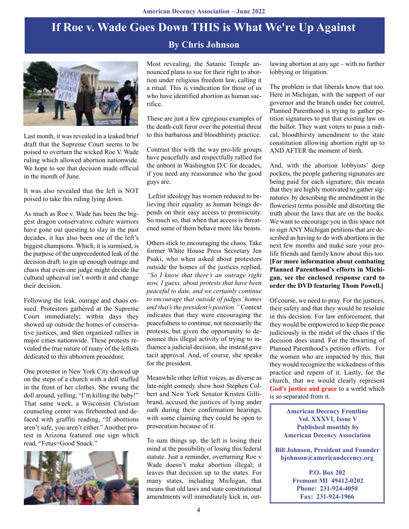# **If Roe v. Wade Goes Down THIS is What We're Up Against**

## **By Chris Johnson**



Last month, it was revealed in a leaked brief draft that the Supreme Court seems to be poised to overturn the wicked Roe V. Wade ruling which allowed abortion nationwide. We hope to see that decision made official in the month of June.

It was also revealed that the left is NOT poised to take this ruling lying down.

As much as Roe v. Wade has been the biggest dragon conservative culture warriors have gone out questing to slay in the past decades, it has also been one of the left's biggest champions. Which, it is surmised, is the purpose of the unprecedented leak of the decision draft: to gin up enough outrage and chaos that even one judge might decide the cultural upheaval isn't worth it and change their decision.

Following the leak, outrage and chaos ensued. Protestors gathered at the Supreme Court immediately; within days they showed up outside the homes of conservative justices, and then organized rallies in major cities nationwide. These protests revealed the true nature of many of the leftists dedicated to this abhorrent procedure.

One protestor in New York City showed up on the steps of a church with a doll stuffed in the front of her clothes. She swung the doll around, yelling, "I'm killing the baby!" That same week, a Wisconsin Christian counseling center was firebombed and defaced with graffiti reading, "If abortions aren't safe, you aren't either." Another protest in Arizona featured one sign which read, "Fetus=Good Snack."



Most revealing, the Satanic Temple announced plans to sue for their right to abortion under religious freedom law, calling it a ritual. This is vindication for those of us who have identified abortion as human sacrifice.

These are just a few egregious examples of the death-cult furor over the potential threat to this barbarous and bloodthirsty practice.

Contrast this with the way pro-life groups have peacefully and respectfully rallied for the unborn in Washington D.C for decades, if you need any reassurance who the good guys are.

 Leftist ideology has women reduced to believing their equality as human beings depends on their easy access to promiscuity. So much so, that when that access is threatened some of them behave more like beasts.

Others stick to encouraging the chaos. Take former White House Press Secretary Jen Psaki, who when asked about protestors outside the homes of the justices replied, *"So I know that there's an outrage right now, I guess, about protests that have been peaceful to date, and we certainly continue to encourage that outside of judges' homes and that's the president's position."* Context indicates that they were encouraging the peacefulness to continue, not necessarily the protests, but given the opportunity to denounce this illegal activity of trying to influence a judicial decision, she instead gave tacit approval. And, of course, she speaks for the president.

Meanwhile other leftist voices, as diverse as late-night comedy show host Stephen Colbert and New York Senator Kristen Gillibrand, accused the justices of lying under oath during their confirmation hearings, with some claiming they could be open to prosecution because of it.

To sum things up, the left is losing their mind at the possibility of losing this federal statute. Just a reminder, overturning Roe v Wade doesn't make abortion illegal; it leaves that decision up to the states. For many states, including Michigan, that means that old laws and state constitutional amendments will immediately kick in, outlawing abortion at any age – with no further lobbying or litigation.

The problem is that liberals know that too. Here in Michigan, with the support of our governor and the branch under her control, Planned Parenthood is trying to gather petition signatures to put that existing law on the ballot. They want voters to pass a radical, bloodthirsty amendment to the state constitution allowing abortion right up to AND AFTER the moment of birth.

And, with the abortion lobbyists' deep pockets, the people gathering signatures are being paid for each signature; this means that they are highly motivated to gather signatures by describing the amendment in the floweriest terms possible and distorting the truth about the laws that are on the books. We want to encourage you in this space not to sign ANY Michigan petitions that are described as having to do with abortions in the next few months and make sure your prolife friends and family know about this too. **[For more information about combating Planned Parenthood's efforts in Michigan, see the enclosed response card to order the DVD featuring Thom Powell.]**

Of course, we need to pray. For the justices, their safety and that they would be resolute in this decision. For law enforcement, that they would be empowered to keep the peace judiciously in the midst of the chaos if the decision does stand. For the thwarting of Planned Parenthood's petition efforts. For the women who are impacted by this, that they would recognize the wickedness of this practice and repent of it. Lastly, for the church, that we would clearly represent **God's justice and grace** to a world which is so separated from it.

> **American Decency Frontline Vol. XXXVI, Issue V Published monthly by American Decency Association**

**Bill Johnson, President and Founder bjohnson@americandecency.org**

> **P.O. Box 202 Fremont MI 49412-0202 Phone: 231-924-4050 Fax: 231-924-1966**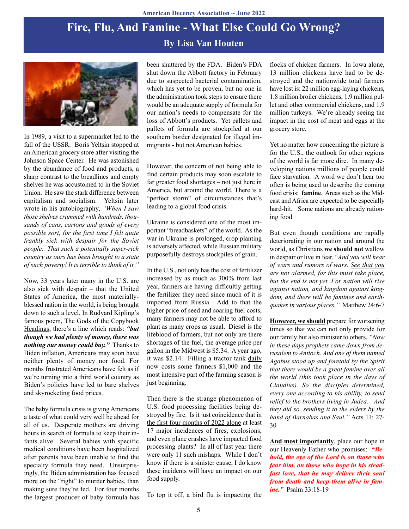## **By Lisa Van Houten Fire, Flu, And Famine - What Else Could Go Wrong?**



In 1989, a visit to a supermarket led to the fall of the USSR. Boris Yeltsin stopped at an American grocery store after visiting the Johnson Space Center. He was astonished by the abundance of food and products, a sharp contrast to the breadlines and empty shelves he was accustomed to in the Soviet Union. He saw the stark difference between capitalism and socialism. Yeltsin later wrote in his autobiography, *"When I saw those shelves crammed with hundreds, thousands of cans, cartons and goods of every possible sort, for the first time I felt quite frankly sick with despair for the Soviet people. That such a potentially super-rich country as ours has been brought to a state of such poverty! It is terrible to think of it."*

Now, 33 years later many in the U.S. are also sick with despair – that the United States of America, the most materiallyblessed nation in the world, is being brought down to such a level. In Rudyard Kipling's famous poem, The Gods of the Copybook Headings, there's a line which reads: *"but though we had plenty of money, there was nothing our money could buy."* Thanks to Biden inflation, Americans may soon have neither plenty of money nor food. For months frustrated Americans have felt as if we're turning into a third world country as Biden's policies have led to bare shelves and skyrocketing food prices.

The baby formula crisis is giving Americans a taste of what could very well be ahead for all of us. Desperate mothers are driving hours in search of formula to keep their infants alive. Several babies with specific medical conditions have been hospitalized after parents have been unable to find the specialty formula they need. Unsurprisingly, the Biden administration has focused more on the "right" to murder babies, than making sure they're fed. For four months the largest producer of baby formula has

been shuttered by the FDA. Biden's FDA shut down the Abbott factory in February due to suspected bacterial contamination, which has yet to be proven, but no one in the administration took steps to ensure there would be an adequate supply of formula for our nation's needs to compensate for the loss of Abbott's products. Yet pallets and pallets of formula are stockpiled at our southern border designated for illegal immigrants - but not American babies.

However, the concern of not being able to find certain products may soon escalate to far greater food shortages – not just here in America, but around the world. There is a "perfect storm" of circumstances that's leading to a global food crisis.

Ukraine is considered one of the most important "breadbaskets" of the world. As the war in Ukraine is prolonged, crop planting is adversely affected, while Russian military purposefully destroys stockpiles of grain.

In the U.S., not only has the cost of fertilizer increased by as much as 300% from last year, farmers are having difficultly getting the fertilizer they need since much of it is imported from Russia. Add to that the higher price of seed and soaring fuel costs, many farmers may not be able to afford to plant as many crops as usual. Diesel is the lifeblood of farmers, but not only are there shortages of the fuel, the average price per gallon in the Midwest is \$5.34. A year ago, it was \$2.14. Filling a tractor tank daily now costs some farmers \$1,000 and the most intensive part of the farming season is just beginning.

Then there is the strange phenomenon of U.S. food processing facilities being destroyed by fire. Is it just coincidence that in the first four months of 2022 alone at least 17 major incidences of fires, explosions, and even plane crashes have impacted food processing plants? In all of last year there were only 11 such mishaps. While I don't know if there is a sinister cause, I do know these incidents will have an impact on our food supply.

To top it off, a bird flu is impacting the

flocks of chicken farmers. In Iowa alone, 13 million chickens have had to be destroyed and the nationwide total farmers have lost is: 22 million egg-laying chickens, 1.8 million broiler chickens, 1.9 million pullet and other commercial chickens, and 1.9 million turkeys. We're already seeing the impact in the cost of meat and eggs at the grocery store.

Yet no matter how concerning the picture is for the U.S., the outlook for other regions of the world is far more dire. In many developing nations millions of people could face starvation. A word we don't hear too often is being used to describe the coming food crisis: **famine**. Areas such as the Mideast and Africa are expected to be especially hard-hit. Some nations are already rationing food.

But even though conditions are rapidly deteriorating in our nation and around the world, as Christians **we should not** wallow in despair or live in fear. "*And you will hear of wars and rumors of wars. See that you are not alarmed, for this must take place, but the end is not yet. For nation will rise against nation, and kingdom against kingdom, and there will be famines and earthquakes in various places."* Matthew 24:6-7

**However, we should** prepare for worsening times so that we can not only provide for our family but also minister to others. *"Now in these days prophets came down from Jerusalem to Antioch. And one of them named Agabus stood up and foretold by the Spirit that there would be a great famine over all the world (this took place in the days of Claudius). So the disciples determined, every one according to his ability, to send relief to the brothers living in Judea. And they did so, sending it to the elders by the hand of Barnabas and Saul."* Acts 11: 27- 30

**And most importantly**, place our hope in our Heavenly Father who promises: **"***Behold, the eye of the Lord is on those who fear him, on those who hope in his steadfast love, that he may deliver their soul from death and keep them alive in famine."* Psalm 33:18-19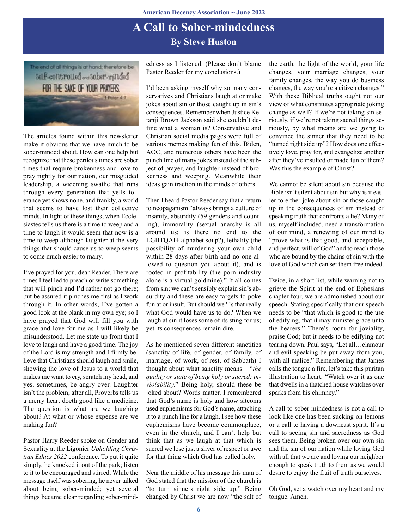## **A Call to Sober-mindedness By Steve Huston**



The articles found within this newsletter make it obvious that we have much to be sober-minded about. How can one help but recognize that these perilous times are sober times that require brokenness and love to pray rightly for our nation, our misguided leadership, a widening swathe that runs through every generation that yells tolerance yet shows none, and frankly, a world that seems to have lost their collective minds. In light of these things, when Ecclesiastes tells us there is a time to weep and a time to laugh it would seem that now is a time to weep although laughter at the very things that should cause us to weep seems to come much easier to many.

I've prayed for you, dear Reader. There are times I feel led to preach or write something that will pinch and I'd rather not go there; but be assured it pinches me first as I work through it. In other words, I've gotten a good look at the plank in my own eye; so I have prayed that God will fill you with grace and love for me as I will likely be misunderstood. Let me state up front that I love to laugh and have a good time. The joy of the Lord is my strength and I firmly believe that Christians should laugh and smile, showing the love of Jesus to a world that makes me want to cry, scratch my head, and yes, sometimes, be angry over. Laughter isn't the problem; after all, Proverbs tells us a merry heart doeth good like a medicine. The question is what are we laughing about? At what or whose expense are we making fun?

Pastor Harry Reeder spoke on Gender and Sexuality at the Ligonier *Upholding Christian Ethics 2022* conference. To put it quite simply, he knocked it out of the park; listen to it to be encouraged and stirred. While the message itself was sobering, he never talked about being sober-minded; yet several things became clear regarding sober-mindedness as I listened. (Please don't blame Pastor Reeder for my conclusions.)

I'd been asking myself why so many conservatives and Christians laugh at or make jokes about sin or those caught up in sin's consequences. Remember when Justice Ketanii Brown Jackson said she couldn't define what a woman is? Conservative and Christian social media pages were full of various memes making fun of this. Biden, AOC, and numerous others have been the punch line of many jokes instead of the subject of prayer, and laughter instead of brokenness and weeping. Meanwhile their ideas gain traction in the minds of others.

Then I heard Pastor Reeder say that a return to neopaganism "always brings a culture of insanity, absurdity (59 genders and counting), immorality (sexual anarchy is all around us; is there no end to the LGBTQAI+ alphabet soup?), lethality (the possibility of murdering your own child within 28 days after birth and no one allowed to question you about it), and is rooted in profitability (the porn industry alone is a virtual goldmine)." It all comes from sin; we can't sensibly explain sin's absurdity and these are easy targets to poke fun at or insult. But should we? Is that really what God would have us to do? When we laugh at sin it loses some of its sting for us; yet its consequences remain dire.

As he mentioned seven different sanctities (sanctity of life, of gender, of family, of marriage, of work, of rest, of Sabbath) I thought about what sanctity means – "*the quality or state of being holy or sacred: inviolability.*" Being holy, should these be joked about? Words matter. I remembered that God's name is holy and how sitcoms used euphemisms for God's name, attaching it to a punch line for a laugh. I see how these euphemisms have become commonplace, even in the church, and I can't help but think that as we laugh at that which is sacred we lose just a sliver of respect or awe for that thing which God has called holy.

Near the middle of his message this man of God stated that the mission of the church is "to turn sinners right side up." Being changed by Christ we are now "the salt of the earth, the light of the world, your life changes, your marriage changes, your family changes, the way you do business changes, the way you're a citizen changes." With these Biblical truths ought not our view of what constitutes appropriate joking change as well? If we're not taking sin seriously, if we're not taking sacred things seriously, by what means are we going to convince the sinner that they need to be "turned right side up"? How does one effectively love, pray for, and evangelize another after they've insulted or made fun of them? Was this the example of Christ?

We cannot be silent about sin because the Bible isn't silent about sin but why is it easier to either joke about sin or those caught up in the consequences of sin instead of speaking truth that confronts a lie? Many of us, myself included, need a transformation of our mind, a renewing of our mind to "prove what is that good, and acceptable, and perfect, will of God" and to reach those who are bound by the chains of sin with the love of God which can set them free indeed.

Twice, in a short list, while warning not to grieve the Spirit at the end of Ephesians chapter four, we are admonished about our speech. Stating specifically that our speech needs to be "that which is good to the use of edifying, that it may minister grace unto the hearers." There's room for joviality, praise God; but it needs to be edifying not tearing down. Paul says, "Let all…clamour and evil speaking be put away from you, with all malice." Remembering that James calls the tongue a fire, let's take this puritan illustration to heart: "Watch over it as one that dwells in a thatched house watches over sparks from his chimney."

A call to sober-mindedness is not a call to look like one has been sucking on lemons or a call to having a downcast spirit. It's a call to seeing sin and sacredness as God sees them. Being broken over our own sin and the sin of our nation while loving God with all that we are and loving our neighbor enough to speak truth to them as we would desire to enjoy the fruit of truth ourselves.

Oh God, set a watch over my heart and my tongue. Amen.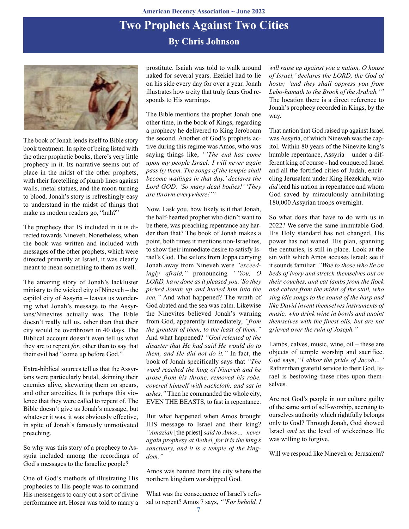## **By Chris Johnson Two Prophets Against Two Cities**



The book of Jonah lends itself to Bible story book treatment. In spite of being listed with the other prophetic books, there's very little prophecy in it. Its narrative seems out of place in the midst of the other prophets, with their foretelling of plumb lines against walls, metal statues, and the moon turning to blood. Jonah's story is refreshingly easy to understand in the midst of things that make us modern readers go, "huh?"

The prophecy that IS included in it is directed towards Nineveh. Nonetheless, when the book was written and included with messages of the other prophets, which were directed primarily at Israel, it was clearly meant to mean something to them as well.

The amazing story of Jonah's lackluster ministry to the wicked city of Nineveh – the capitol city of Assyria – leaves us wondering what Jonah's message to the Assyrians/Ninevites actually was. The Bible doesn't really tell us, other than that their city would be overthrown in 40 days. The Biblical account doesn't even tell us what they are to repent *for*, other than to say that their evil had "come up before God."

Extra-biblical sources tell us that the Assyrians were particularly brutal, skinning their enemies alive, skewering them on spears, and other atrocities. It is perhaps this violence that they were called to repent of. The Bible doesn't give us Jonah's message, but whatever it was, it was obviously effective, in spite of Jonah's famously unmotivated preaching.

So why was this story of a prophecy to Assyria included among the recordings of God's messages to the Israelite people?

One of God's methods of illustrating His prophecies to His people was to command His messengers to carry out a sort of divine performance art. Hosea was told to marry a prostitute. Isaiah was told to walk around naked for several years. Ezekiel had to lie on his side every day for over a year. Jonah illustrates how a city that truly fears God responds to His warnings.

The Bible mentions the prophet Jonah one other time, in the book of Kings, regarding a prophecy he delivered to King Jeroboam the second. Another of God's prophets active during this regime was Amos, who was saying things like, *"'The end has come upon my people Israel; I will never again pass by them. The songs of the temple shall become wailings in that day,' declares the Lord GOD. 'So many dead bodies!' 'They are thrown everywhere!'"*

Now, I ask you, how likely is it that Jonah, the half-hearted prophet who didn't want to be there, was preaching repentance any harder than that? The book of Jonah makes a point, both times it mentions non-Israelites, to show their immediate desire to satisfy Israel's God. The sailors from Joppa carrying Jonah away from Nineveh were *"exceedingly afraid,"* pronouncing *"'You, O LORD, have done as it pleased you.' So they picked Jonah up and hurled him into the sea,"* And what happened? The wrath of God abated and the sea was calm. Likewise the Ninevites believed Jonah's warning from God, apparently immediately, *"from the greatest of them, to the least of them."* And what happened? *"God relented of the disaster that He had said He would do to them, and He did not do it."* In fact, the book of Jonah specifically says that *"The word reached the king of Nineveh and he arose from his throne, removed his robe, covered himself with sackcloth, and sat in ashes."* Then he commanded the whole city, EVEN THE BEASTS, to fast in repentance.

But what happened when Amos brought HIS message to Israel and their king? *"Amaziah* [the priest] *said to Amos… 'never again prophesy at Bethel, for it is the king's sanctuary, and it is a temple of the kingdom."*

Amos was banned from the city where the northern kingdom worshipped God.

What was the consequence of Israel's refusal to repent? Amos 7 says, *"'For behold, I* *will raise up against you a nation, O house of Israel,' declares the LORD, the God of hosts; 'and they shall oppress you from Lebo-hamath to the Brook of the Arabah.'"* The location there is a direct reference to Jonah's prophecy recorded in Kings, by the way.

That nation that God raised up against Israel was Assyria, of which Nineveh was the capitol. Within 80 years of the Ninevite king's humble repentance, Assyria – under a different king of course - had conquered Israel and all the fortified cities of Judah, encircling Jerusalem under King Hezekiah, who *did* lead his nation in repentance and whom God saved by miraculously annihilating 180,000 Assyrian troops overnight.

So what does that have to do with us in 2022? We serve the same immutable God. His Holy standard has not changed. His power has not waned. His plan, spanning the centuries, is still in place. Look at the sin with which Amos accuses Israel; see if it sounds familiar: *"Woe to those who lie on beds of ivory and stretch themselves out on their couches, and eat lambs from the flock and calves from the midst of the stall, who sing idle songs to the sound of the harp and like David invent themselves instruments of music, who drink wine in bowls and anoint themselves with the finest oils, but are not grieved over the ruin of Joseph."*

Lambs, calves, music, wine, oil – these are objects of temple worship and sacrifice. God says, "*I abhor the pride of Jacob…"* Rather than grateful service to their God, Israel is bestowing these rites upon themselves.

Are not God's people in our culture guilty of the same sort of self-worship, accruing to ourselves authority which rightfully belongs only to God? Through Jonah, God showed Israel *and us* the level of wickedness He was willing to forgive.

Will we respond like Nineveh or Jerusalem?